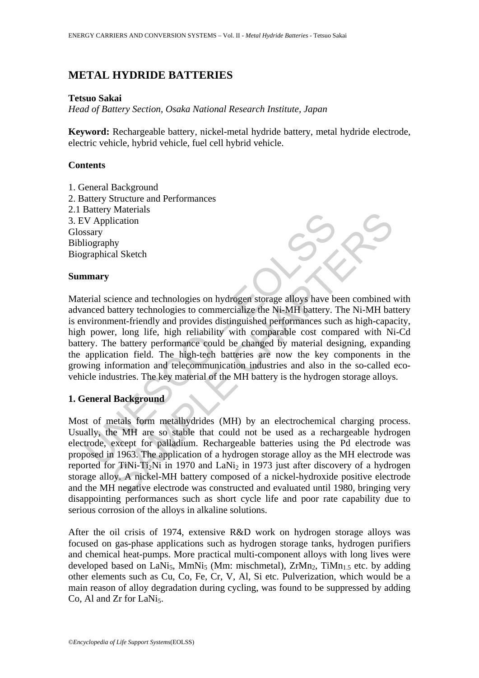# **METAL HYDRIDE BATTERIES**

### **Tetsuo Sakai**

*Head of Battery Section, Osaka National Research Institute, Japan* 

**Keyword:** Rechargeable battery, nickel-metal hydride battery, metal hydride electrode, electric vehicle, hybrid vehicle, fuel cell hybrid vehicle.

## **Contents**

1. General Background 2. Battery Structure and Performances 2.1 Battery Materials 3. EV Application Glossary Bibliography Biographical Sketch

### **Summary**

Matrix Solution<br>
Walter and technologies on hydrogen storage alloys have been and technologies to commercialize the Ni-MH battery. The matrix technologies to commercialize the Ni-MH battery. The battery reformance such pow Materials<br>
hy<br>
hy<br>
hy<br>
hy<br>
al Sketch<br>
ball Sketch<br>
intery technologies to commercialize the Ni-MH battery. The Ni-MH batter<br>
nent-friendly and provides distinguished performances such as high-capa<br>
entery performance could Material science and technologies on hydrogen storage alloys have been combined with advanced battery technologies to commercialize the Ni-MH battery. The Ni-MH battery is environment-friendly and provides distinguished performances such as high-capacity, high power, long life, high reliability with comparable cost compared with Ni-Cd battery. The battery performance could be changed by material designing, expanding the application field. The high-tech batteries are now the key components in the growing information and telecommunication industries and also in the so-called ecovehicle industries. The key material of the MH battery is the hydrogen storage alloys.

### **1. General Background**

Most of metals form metalhydrides (MH) by an electrochemical charging process. Usually, the MH are so stable that could not be used as a rechargeable hydrogen electrode, except for palladium. Rechargeable batteries using the Pd electrode was proposed in 1963. The application of a hydrogen storage alloy as the MH electrode was reported for TiNi-Ti<sub>2</sub>Ni in 1970 and LaNi<sub>2</sub> in 1973 just after discovery of a hydrogen storage alloy. A nickel-MH battery composed of a nickel-hydroxide positive electrode and the MH negative electrode was constructed and evaluated until 1980, bringing very disappointing performances such as short cycle life and poor rate capability due to serious corrosion of the alloys in alkaline solutions.

After the oil crisis of 1974, extensive R&D work on hydrogen storage alloys was focused on gas-phase applications such as hydrogen storage tanks, hydrogen purifiers and chemical heat-pumps. More practical multi-component alloys with long lives were developed based on LaNi<sub>5</sub>, MmNi<sub>5</sub> (Mm: mischmetal), ZrMn<sub>2</sub>, TiMn<sub>1.5</sub> etc. by adding other elements such as Cu, Co, Fe, Cr, V, Al, Si etc. Pulverization, which would be a main reason of alloy degradation during cycling, was found to be suppressed by adding Co, Al and Zr for LaNi<sub>5</sub>.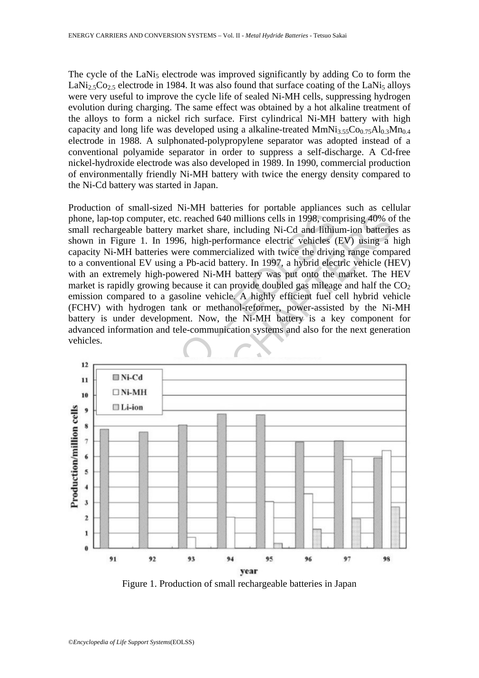The cycle of the LaNi<sub>5</sub> electrode was improved significantly by adding Co to form the LaNi<sub>2.5</sub>Co<sub>2.5</sub> electrode in 1984. It was also found that surface coating of the LaNi<sub>5</sub> alloys were very useful to improve the cycle life of sealed Ni-MH cells, suppressing hydrogen evolution during charging. The same effect was obtained by a hot alkaline treatment of the alloys to form a nickel rich surface. First cylindrical Ni-MH battery with high capacity and long life was developed using a alkaline-treated  $MmNi<sub>3.55</sub>Co<sub>0.75</sub>Al<sub>0.3</sub>Mn<sub>0.4</sub>$ electrode in 1988. A sulphonated-polypropylene separator was adopted instead of a conventional polyamide separator in order to suppress a self-discharge. A Cd-free nickel-hydroxide electrode was also developed in 1989. In 1990, commercial production of environmentally friendly Ni-MH battery with twice the energy density compared to the Ni-Cd battery was started in Japan.

ne, lap-top computer, etc. reached 640 millions cells in 1998, com<br>
Il rechargeable battery market share, including Ni-Cd and lithium<br>
wn in Figure 1. In 1996, high-performance electric vehicles (<br>
coiventional EV using a Production of small-sized Ni-MH batteries for portable appliances such as cellular phone, lap-top computer, etc. reached 640 millions cells in 1998, comprising 40% of the small rechargeable battery market share, including Ni-Cd and lithium-ion batteries as shown in Figure 1. In 1996, high-performance electric vehicles (EV) using a high capacity Ni-MH batteries were commercialized with twice the driving range compared to a conventional EV using a Pb-acid battery. In 1997, a hybrid electric vehicle (HEV) with an extremely high-powered Ni-MH battery was put onto the market. The HEV market is rapidly growing because it can provide doubled gas mileage and half the  $CO<sub>2</sub>$ emission compared to a gasoline vehicle. A highly efficient fuel cell hybrid vehicle (FCHV) with hydrogen tank or methanol-reformer, power-assisted by the Ni-MH battery is under development. Now, the Ni-MH battery is a key component for advanced information and tele-communication systems and also for the next generation vehicles.



Figure 1. Production of small rechargeable batteries in Japan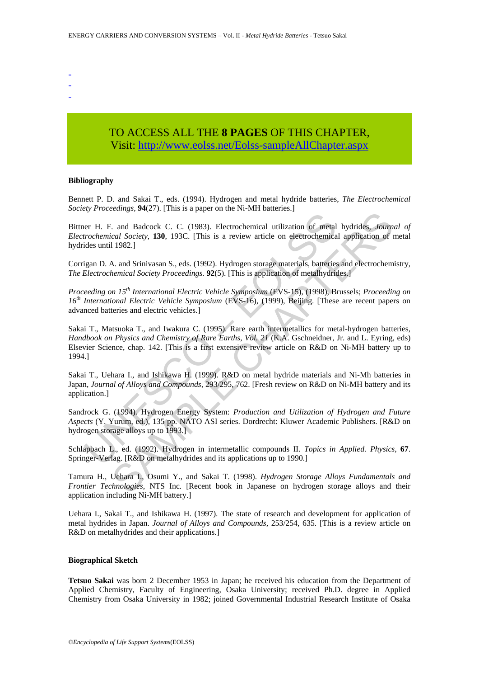- -
- -

## TO ACCESS ALL THE **8 PAGES** OF THIS CHAPTER, Visit[: http://www.eolss.net/Eolss-sampleAllChapter.aspx](https://www.eolss.net/ebooklib/sc_cart.aspx?File=E3-13-09-05)

#### **Bibliography**

Bennett P. D. and Sakai T., eds. (1994). Hydrogen and metal hydride batteries, *The Electrochemical Society Proceedings,* **94**(27). [This is a paper on the Ni-MH batteries.]

Bittner H. F. and Badcock C. C. (1983). Electrochemical utilization of metal hydrides, *Journal of Electrochemical Society,* **130**, 193C. [This is a review article on electrochemical application of metal hydrides until 1982.]

Corrigan D. A. and Srinivasan S., eds. (1992). Hydrogen storage materials, batteries and electrochemistry, *The Electrochemical Society Proceedings.* **92**(5). [This is application of metalhydrides.]

*Proceeding on 15th International Electric Vehicle Symposium* (EVS-15), (1998), Brussels; *Proceeding on 16th International Electric Vehicle Symposium* (EVS-16), (1999), Beijing. [These are recent papers on advanced batteries and electric vehicles.]

er H. F. and Badcock C. C. (1983). Electrochemical utilization of metal<br>trochemical Society, 130, 193C. [This is a review article on electrochemical<br>dides until 1982.]<br>igan D. A. and Srinivasan S., eds. (1992). Hydrogen st can Balacock C. C. (1983). Electrochemical utilization of metal hydrides, Journal Balacock C. C. (1983). Electrochemical utilization of metal hydrides, Journal Carl Society, 130, 193C. [This is a review article on electro Sakai T., Matsuoka T., and Iwakura C. (1995). Rare earth intermetallics for metal-hydrogen batteries, *Handbook on Physics and Chemistry of Rare Earths*, *Vol. 21* (K.A. Gschneidner, Jr. and L. Eyring, eds) Elsevier Science, chap. 142. [This is a first extensive review article on R&D on Ni-MH battery up to 1994.]

Sakai T., Uehara I., and Ishikawa H. (1999). R&D on metal hydride materials and Ni-Mh batteries in Japan, *Journal of Alloys and Compounds,* 293/295, 762. [Fresh review on R&D on Ni-MH battery and its application.]

Sandrock G. (1994). Hydrogen Energy System: *Production and Utilization of Hydrogen and Future Aspects* (Y. Yurum, ed.), 135 pp. NATO ASI series. Dordrecht: Kluwer Academic Publishers. [R&D on hydrogen storage alloys up to 1993.]

Schlapbach L., ed. (1992). Hydrogen in intermetallic compounds II. *Topics in Applied. Physics,* **67**. Springer-Verlag. [R&D on metalhydrides and its applications up to 1990.]

Tamura H., Uehara I., Osumi Y., and Sakai T. (1998). *Hydrogen Storage Alloys Fundamentals and Frontier Technologies*, NTS Inc. [Recent book in Japanese on hydrogen storage alloys and their application including Ni-MH battery.]

Uehara I., Sakai T., and Ishikawa H. (1997). The state of research and development for application of metal hydrides in Japan. *Journal of Alloys and Compounds,* 253/254, 635. [This is a review article on R&D on metalhydrides and their applications.]

#### **Biographical Sketch**

**Tetsuo Sakai** was born 2 December 1953 in Japan; he received his education from the Department of Applied Chemistry, Faculty of Engineering, Osaka University; received Ph.D. degree in Applied Chemistry from Osaka University in 1982; joined Governmental Industrial Research Institute of Osaka